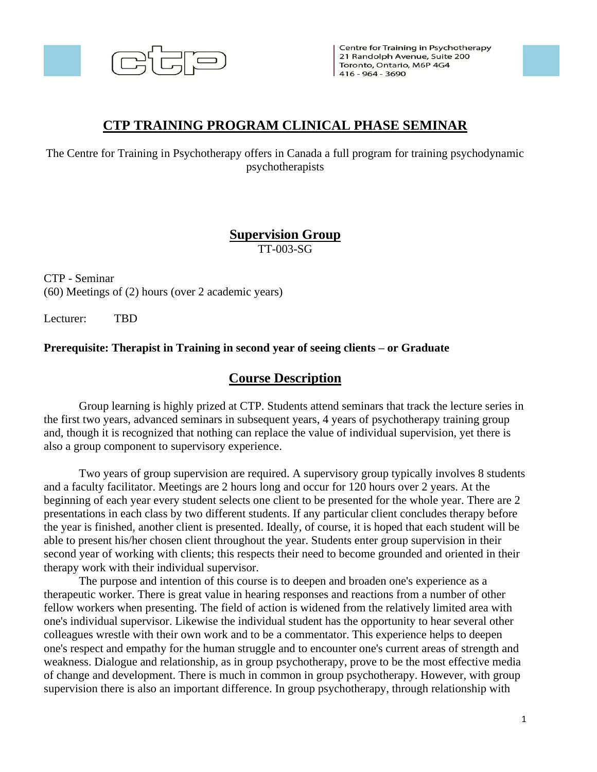

Centre for Training in Psychotherapy 21 Randolph Avenue, Suite 200 Toronto, Ontario, M6P 4G4 416 - 964 - 3690

## **CTP TRAINING PROGRAM CLINICAL PHASE SEMINAR**

The Centre for Training in Psychotherapy offers in Canada a full program for training psychodynamic psychotherapists

# **Supervision Group**

TT-003-SG

CTP - Seminar (60) Meetings of (2) hours (over 2 academic years)

Lecturer: TBD

#### **Prerequisite: Therapist in Training in second year of seeing clients – or Graduate**

## **Course Description**

Group learning is highly prized at CTP. Students attend seminars that track the lecture series in the first two years, advanced seminars in subsequent years, 4 years of psychotherapy training group and, though it is recognized that nothing can replace the value of individual supervision, yet there is also a group component to supervisory experience.

Two years of group supervision are required. A supervisory group typically involves 8 students and a faculty facilitator. Meetings are 2 hours long and occur for 120 hours over 2 years. At the beginning of each year every student selects one client to be presented for the whole year. There are 2 presentations in each class by two different students. If any particular client concludes therapy before the year is finished, another client is presented. Ideally, of course, it is hoped that each student will be able to present his/her chosen client throughout the year. Students enter group supervision in their second year of working with clients; this respects their need to become grounded and oriented in their therapy work with their individual supervisor.

The purpose and intention of this course is to deepen and broaden one's experience as a therapeutic worker. There is great value in hearing responses and reactions from a number of other fellow workers when presenting. The field of action is widened from the relatively limited area with one's individual supervisor. Likewise the individual student has the opportunity to hear several other colleagues wrestle with their own work and to be a commentator. This experience helps to deepen one's respect and empathy for the human struggle and to encounter one's current areas of strength and weakness. Dialogue and relationship, as in group psychotherapy, prove to be the most effective media of change and development. There is much in common in group psychotherapy. However, with group supervision there is also an important difference. In group psychotherapy, through relationship with